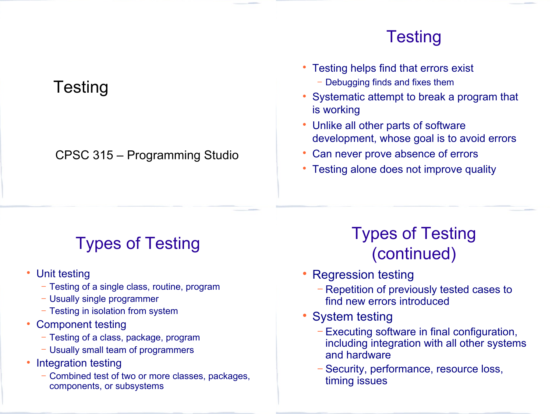### **Testing**

## **Testing**

#### CPSC 315 – Programming Studio

#### • Testing helps find that errors exist

- − Debugging finds and fixes them
- Systematic attempt to break a program that is working
- Unlike all other parts of software development, whose goal is to avoid errors
- Can never prove absence of errors
- Testing alone does not improve quality

# Types of Testing

- Unit testing
	- − Testing of a single class, routine, program
	- − Usually single programmer
	- − Testing in isolation from system
- Component testing
	- − Testing of a class, package, program
	- − Usually small team of programmers
- Integration testing
	- − Combined test of two or more classes, packages, components, or subsystems

# Types of Testing (continued)

- Regression testing
	- − Repetition of previously tested cases to find new errors introduced
- System testing
	- − Executing software in final configuration, including integration with all other systems and hardware
	- − Security, performance, resource loss, timing issues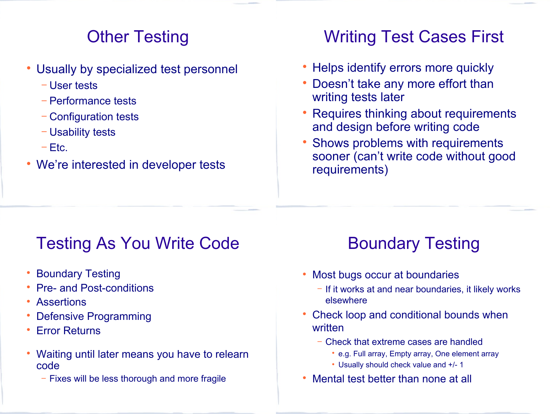#### Other Testing

- Usually by specialized test personnel
	- − User tests
	- − Performance tests
	- − Configuration tests
	- − Usability tests
	- − Etc.
- We're interested in developer tests

## Writing Test Cases First

- Helps identify errors more quickly
- Doesn't take any more effort than writing tests later
- Requires thinking about requirements and design before writing code
- Shows problems with requirements sooner (can't write code without good requirements)

## Testing As You Write Code

- Boundary Testing
- Pre- and Post-conditions
- Assertions
- Defensive Programming
- Error Returns
- Waiting until later means you have to relearn code
	- − Fixes will be less thorough and more fragile

# Boundary Testing

- Most bugs occur at boundaries
	- − If it works at and near boundaries, it likely works elsewhere
- Check loop and conditional bounds when written
	- − Check that extreme cases are handled
		- e.g. Full array, Empty array, One element array
		- Usually should check value and +/- 1
- Mental test better than none at all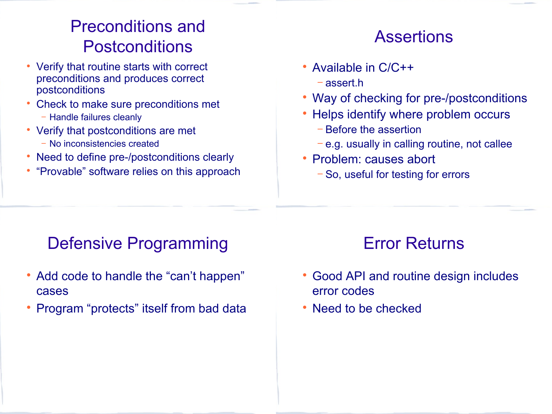## Preconditions and Postconditions

- Verify that routine starts with correct preconditions and produces correct postconditions
- Check to make sure preconditions met
	- − Handle failures cleanly
- Verify that postconditions are met
	- − No inconsistencies created
- Need to define pre-/postconditions clearly
- "Provable" software relies on this approach

## **Assertions**

- Available in C/C++
	- − assert.h
- Way of checking for pre-/postconditions
- Helps identify where problem occurs
	- − Before the assertion
	- − e.g. usually in calling routine, not callee
- Problem: causes abort
	- − So, useful for testing for errors

## Defensive Programming

- Add code to handle the "can't happen" cases
- Program "protects" itself from bad data

## Error Returns

- Good API and routine design includes error codes
- Need to be checked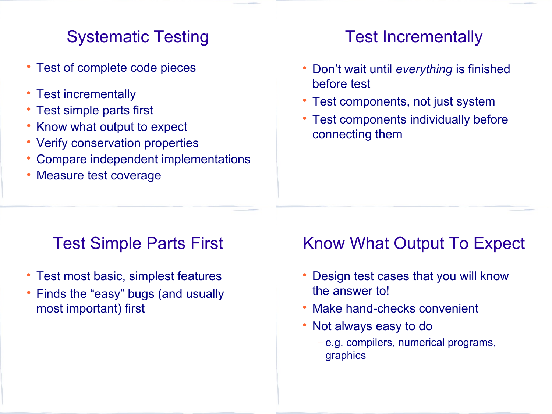## Systematic Testing

- Test of complete code pieces
- Test incrementally
- Test simple parts first
- Know what output to expect
- Verify conservation properties
- Compare independent implementations
- Measure test coverage

## Test Incrementally

- Don't wait until *everything* is finished before test
- Test components, not just system
- Test components individually before connecting them

## Test Simple Parts First

- Test most basic, simplest features
- Finds the "easy" bugs (and usually most important) first

## Know What Output To Expect

- Design test cases that you will know the answer to!
- Make hand-checks convenient
- Not always easy to do
	- − e.g. compilers, numerical programs, graphics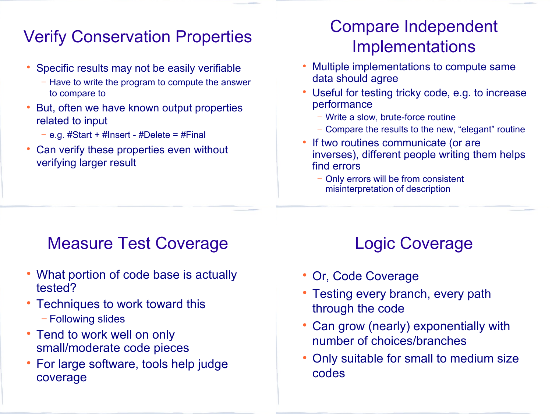## Verify Conservation Properties

- Specific results may not be easily verifiable
	- − Have to write the program to compute the answer to compare to
- But, often we have known output properties related to input
	- − e.g. #Start + #Insert #Delete = #Final
- Can verify these properties even without verifying larger result

## Compare Independent **Implementations**

- Multiple implementations to compute same data should agree
- Useful for testing tricky code, e.g. to increase performance
	- − Write a slow, brute-force routine
	- − Compare the results to the new, "elegant" routine
- If two routines communicate (or are inverses), different people writing them helps find errors
	- − Only errors will be from consistent misinterpretation of description

## Measure Test Coverage

- What portion of code base is actually tested?
- Techniques to work toward this − Following slides
- Tend to work well on only small/moderate code pieces
- For large software, tools help judge coverage

# Logic Coverage

- Or, Code Coverage
- Testing every branch, every path through the code
- Can grow (nearly) exponentially with number of choices/branches
- Only suitable for small to medium size codes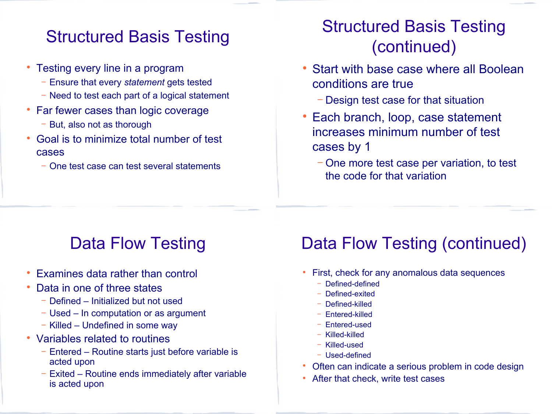#### Structured Basis Testing

- Testing every line in a program
	- − Ensure that every *statement* gets tested
	- − Need to test each part of a logical statement
- Far fewer cases than logic coverage
	- − But, also not as thorough
- Goal is to minimize total number of test cases
	- − One test case can test several statements

## Structured Basis Testing (continued)

- Start with base case where all Boolean conditions are true
	- − Design test case for that situation
- Each branch, loop, case statement increases minimum number of test cases by 1
	- − One more test case per variation, to test the code for that variation

## Data Flow Testing

- Examines data rather than control
- Data in one of three states
	- − Defined Initialized but not used
	- − Used In computation or as argument
	- − Killed Undefined in some way
- Variables related to routines
	- − Entered Routine starts just before variable is acted upon
	- − Exited Routine ends immediately after variable is acted upon

# Data Flow Testing (continued)

- First, check for any anomalous data sequences
	- − Defined-defined
	- − Defined-exited
	- − Defined-killed
	- − Entered-killed
	- − Entered-used
	- − Killed-killed
	- − Killed-used
	- − Used-defined
- Often can indicate a serious problem in code design
- After that check, write test cases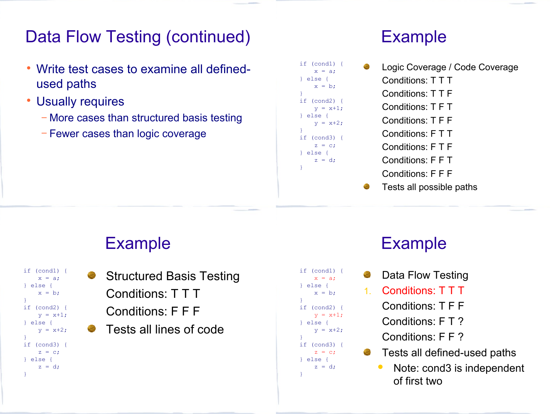#### Data Flow Testing (continued)

- Write test cases to examine all definedused paths
- Usually requires
	- − More cases than structured basis testing
	- − Fewer cases than logic coverage

#### Example

```
if (cond1) {
    x = a;
} else {
    x = b;
if (cond2) {
    y = x+1;} else {
    y = x+2;if (cond3) {
    z = ci} else {
    z = d;
```
}

}

}

- Logic Coverage / Code Coverage Conditions: T T T 2. Conditions: T T F Conditions: T F T 4. Conditions: T F F 5. Conditions: F T T 6. Conditions: F T F 7. Conditions: F F T Conditions: F F F
- Tests all possible paths

#### Example

```
if (cond1) {
    x = a;
} else {
    x = b;
}
if (cond2) {
    y = x+1;} else {
    y = x + 2;}
if (cond3) {
    z = ci} else {
    z = d;
}
```
Structured Basis Testing 1. Conditions: T T T 2. Conditions: F F F Tests all lines of code

```
if (cond1) {
    x = a;
} else {
    x = b;
}
if (cond2) {
    y = x+1;} else {
    y = x+2;}
if (cond3) {
    z = c;} else {
    z = d;
}
```
#### Example

- Data Flow Testing
- 1. Conditions: T T T
	- 2. Conditions: T F F
	- Conditions: F T ?
	- Conditions: F F ?
	- Tests all defined-used paths
		- Note: cond3 is independent of first two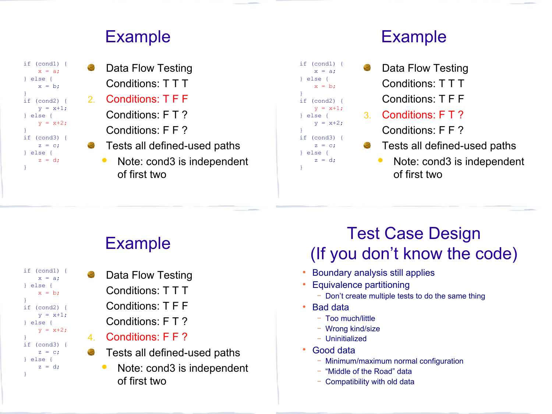#### Example



- Data Flow Testing Conditions: T T T 2. Conditions: T F F Conditions: F T ? 4. Conditions: F F ? Tests all defined-used paths
	- Note: cond3 is independent of first two

#### Example

- if (cond1) { if (cond2) {  $y = x+1;$ Data Flow Testing Conditions: T T T 2. Conditions: T F F 3. Conditions: F T ?
	- 4. Conditions: F F ?
	- Tests all defined-used paths
		- Note: cond3 is independent of first two

# Example

- if (cond1) {  $x = a$ ; } else {  $x = b$ ; } if (cond2) {  $y = x+1;$ } else {  $y = x + 2$ : } if (cond3) {  $z = ci$ } else {  $z = d$ ; }
- Data Flow Testing 1. Conditions: T T T 2. Conditions: T F F Conditions: F T ?
- 4. Conditions: F F ?
- Tests all defined-used paths G
	- Note: cond3 is independent of first two

## Test Case Design (If you don't know the code)

- Boundary analysis still applies
- Equivalence partitioning
	- − Don't create multiple tests to do the same thing
- Bad data

 $x = a$ ; } else {  $x = b$ ;

 $y = x+2$ ;

if (cond3) {  $z = c;$ } else {  $z = d$ ;

}

}

}

} else {

- − Too much/little
- − Wrong kind/size
- − Uninitialized
- Good data
	- − Minimum/maximum normal configuration
	- − "Middle of the Road" data
	- − Compatibility with old data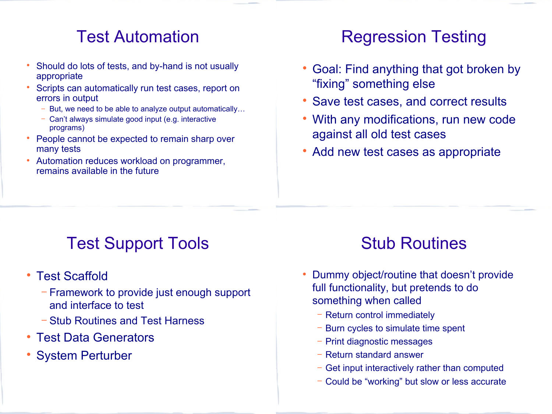### Test Automation

- Should do lots of tests, and by-hand is not usually appropriate
- Scripts can automatically run test cases, report on errors in output
	- But, we need to be able to analyze output automatically…
	- − Can't always simulate good input (e.g. interactive programs)
- People cannot be expected to remain sharp over many tests
- Automation reduces workload on programmer, remains available in the future

## Regression Testing

- Goal: Find anything that got broken by "fixing" something else
- Save test cases, and correct results
- With any modifications, run new code against all old test cases
- Add new test cases as appropriate

## Test Support Tools

- Test Scaffold
	- − Framework to provide just enough support and interface to test
	- − Stub Routines and Test Harness
- Test Data Generators
- System Perturber

## Stub Routines

- Dummy object/routine that doesn't provide full functionality, but pretends to do something when called
	- − Return control immediately
	- − Burn cycles to simulate time spent
	- − Print diagnostic messages
	- − Return standard answer
	- − Get input interactively rather than computed
	- − Could be "working" but slow or less accurate